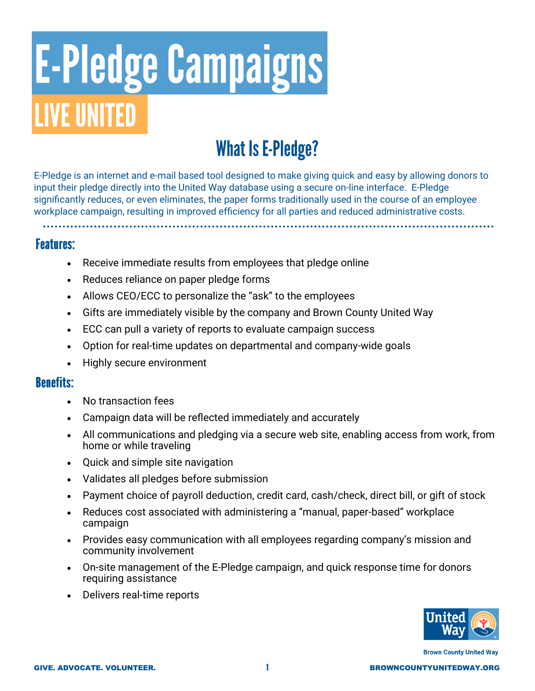# **E-Pledge Campaigns IVE UNITED**

# **What Is E-Pledge?**

E-Pledge is an internet and e-mail based tool designed to make giving quick and easy by allowing donors to input their pledge directly into the United Way database using a secure on-line interface. E-Pledge significantly reduces, or even eliminates, the paper forms traditionally used in the course of an employee workplace campaign, resulting in improved efficiency for all parties and reduced administrative costs.

### **Features:**

- Receive immediate results from employees that pledge online
- Reduces reliance on paper pledge forms
- Allows CEO/ECC to personalize the "ask" to the employees
- Gifts are immediately visible by the company and Brown County United Way
- ECC can pull a variety of reports to evaluate campaign success
- Option for real-time updates on departmental and company-wide goals
- Highly secure environment

### **Benefits:**

- No transaction fees
- Campaign data will be reflected immediately and accurately
- All communications and pledging via a secure web site, enabling access from work, from home or while traveling
- Quick and simple site navigation
- Validates all pledges before submission
- Payment choice of payroll deduction, credit card, cash/check, direct bill, or gift of stock
- Reduces cost associated with administering a "manual, paper-based" workplace campaign
- Provides easy communication with all employees regarding company's mission and community involvement
- On-site management of the E-Pledge campaign, and quick response time for donors requiring assistance
- Delivers real-time reports



**Brown County United Way**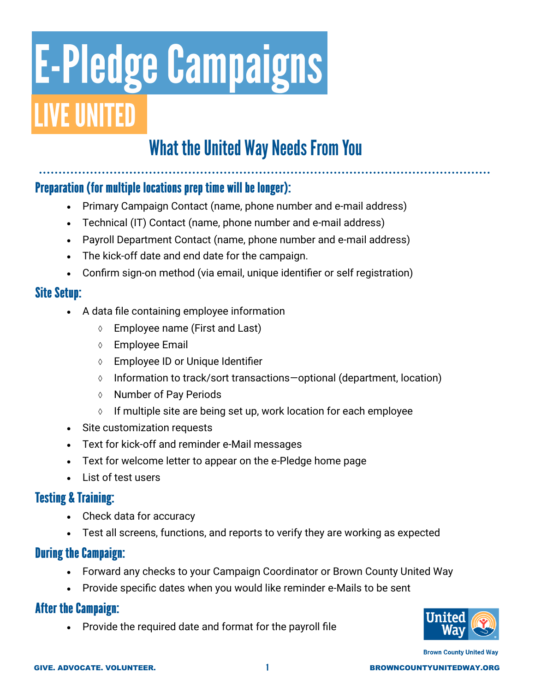# **E-Pledge Campaigns VE UNITED**

# **What the United Way Needs From You**

# Preparation (for multiple locations prep time will be longer):

- Primary Campaign Contact (name, phone number and e-mail address)
- Technical (IT) Contact (name, phone number and e-mail address)
- Payroll Department Contact (name, phone number and e-mail address)
- The kick-off date and end date for the campaign.
- Confirm sign-on method (via email, unique identifier or self registration)

### **Site Setup:**

- A data file containing employee information
	- Employee name (First and Last)
	- Employee Email
	- Employee ID or Unique Identifier
	- $\lozenge$  Information to track/sort transactions—optional (department, location)
	- **↑** Number of Pay Periods
	- $\Diamond$  If multiple site are being set up, work location for each employee
- Site customization requests
- Text for kick-off and reminder e-Mail messages
- Text for welcome letter to appear on the e-Pledge home page
- List of test users

## **Testing & Training:**

- Check data for accuracy
- Test all screens, functions, and reports to verify they are working as expected

## **During the Campaign:**

- Forward any checks to your Campaign Coordinator or Brown County United Way
- Provide specific dates when you would like reminder e-Mails to be sent

## **After the Campaign:**

Provide the required date and format for the payroll file



**Brown County United Way**